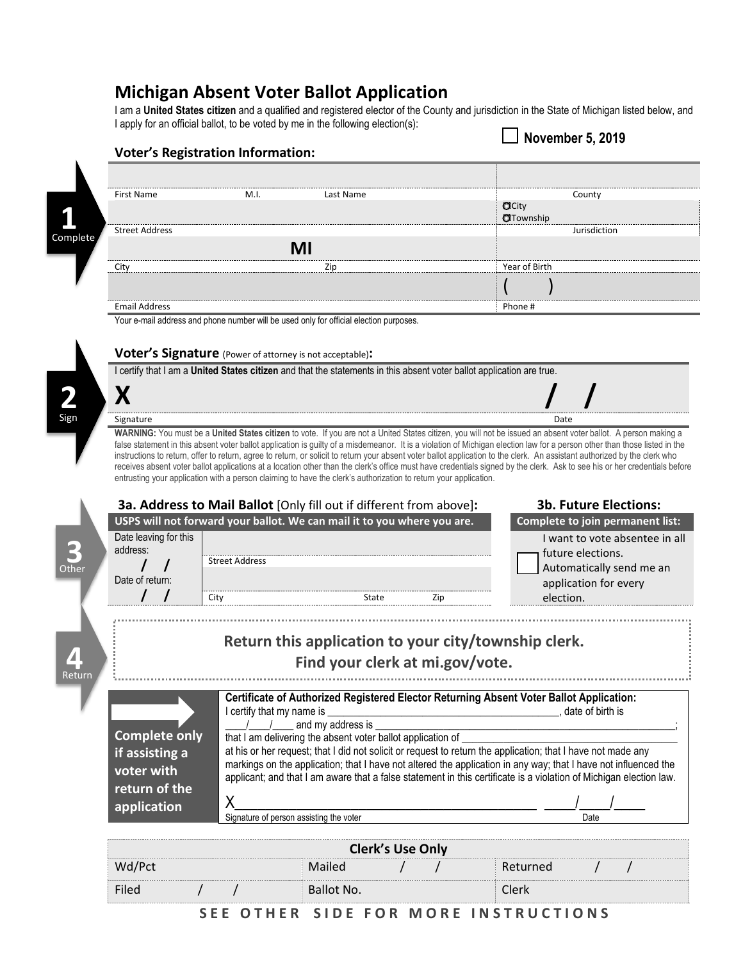## **Michigan Absent Voter Ballot Application**

I am a **United States citizen** and a qualified and registered elector of the County and jurisdiction in the State of Michigan listed below, and I apply for an official ballot, to be voted by me in the following election(s):

**November 5, 2019**

| First Name           | M.I. | Last Name | County                     |
|----------------------|------|-----------|----------------------------|
|                      |      |           | <b>O</b> City<br>OTownship |
| Street Address       |      |           | Jurisdiction               |
|                      |      | MI        |                            |
| Citv                 |      |           | Year of Birth              |
|                      |      |           |                            |
| <b>Email Address</b> |      |           | Phone #                    |

**Voter's Signature** (Power of attorney is not acceptable)**:**

**Voter's Registration Information:**

I certify that I am a **United States citizen** and that the statements in this absent voter ballot application are true.

**X / /**

Signature Date **Date of the Contract of Contract Contract of Contract Contract Contract Only and Date Only and D** 

**2**

Sign

**WARNING:** You must be a **United States citizen** to vote. If you are not a United States citizen, you will not be issued an absent voter ballot. A person making a false statement in this absent voter ballot application is guilty of a misdemeanor. It is a violation of Michigan election law for a person other than those listed in the instructions to return, offer to return, agree to return, or solicit to return your absent voter ballot application to the clerk. An assistant authorized by the clerk who receives absent voter ballot applications at a location other than the clerk's office must have credentials signed by the clerk. Ask to see his or her credentials before entrusting your application with a person claiming to have the clerk's authorization to return your application.

| 3a. Address to Mail Ballot [Only fill out if different from above]:     |                                                                                                                      |                                                             |                         |     | <b>3b. Future Elections:</b>                                                                                                                                                                                                          |  |  |
|-------------------------------------------------------------------------|----------------------------------------------------------------------------------------------------------------------|-------------------------------------------------------------|-------------------------|-----|---------------------------------------------------------------------------------------------------------------------------------------------------------------------------------------------------------------------------------------|--|--|
| USPS will not forward your ballot. We can mail it to you where you are. |                                                                                                                      |                                                             |                         |     | Complete to join permanent list:                                                                                                                                                                                                      |  |  |
| Date leaving for this<br>address:                                       |                                                                                                                      |                                                             |                         |     | I want to vote absentee in all<br>future elections.                                                                                                                                                                                   |  |  |
| Other                                                                   | <b>Street Address</b>                                                                                                |                                                             |                         |     | Automatically send me an                                                                                                                                                                                                              |  |  |
| Date of return:                                                         |                                                                                                                      |                                                             |                         |     | application for every                                                                                                                                                                                                                 |  |  |
|                                                                         | City                                                                                                                 | State                                                       |                         | Zip | election.                                                                                                                                                                                                                             |  |  |
|                                                                         |                                                                                                                      |                                                             |                         |     | Return this application to your city/township clerk.                                                                                                                                                                                  |  |  |
| Return                                                                  |                                                                                                                      | Find your clerk at mi.gov/vote.                             |                         |     |                                                                                                                                                                                                                                       |  |  |
|                                                                         | Certificate of Authorized Registered Elector Returning Absent Voter Ballot Application:<br>I certify that my name is |                                                             |                         |     |                                                                                                                                                                                                                                       |  |  |
|                                                                         |                                                                                                                      | and my address is                                           | date of birth is        |     |                                                                                                                                                                                                                                       |  |  |
| <b>Complete only</b>                                                    |                                                                                                                      | that I am delivering the absent voter ballot application of |                         |     |                                                                                                                                                                                                                                       |  |  |
| if assisting a                                                          |                                                                                                                      |                                                             |                         |     | at his or her request; that I did not solicit or request to return the application; that I have not made any                                                                                                                          |  |  |
| voter with                                                              |                                                                                                                      |                                                             |                         |     | markings on the application; that I have not altered the application in any way; that I have not influenced the<br>applicant; and that I am aware that a false statement in this certificate is a violation of Michigan election law. |  |  |
| return of the                                                           |                                                                                                                      |                                                             |                         |     |                                                                                                                                                                                                                                       |  |  |
| application                                                             | χ                                                                                                                    |                                                             |                         |     |                                                                                                                                                                                                                                       |  |  |
|                                                                         |                                                                                                                      | Signature of person assisting the voter                     | Date                    |     |                                                                                                                                                                                                                                       |  |  |
|                                                                         |                                                                                                                      |                                                             | <b>Clerk's Use Only</b> |     |                                                                                                                                                                                                                                       |  |  |
| Wd/Pct                                                                  |                                                                                                                      | Mailed                                                      |                         |     | Returned                                                                                                                                                                                                                              |  |  |
| Filed                                                                   |                                                                                                                      | Ballot No.                                                  |                         |     | Clerk                                                                                                                                                                                                                                 |  |  |

SEE OTHER SIDE FOR MORE INSTRUCTIONS